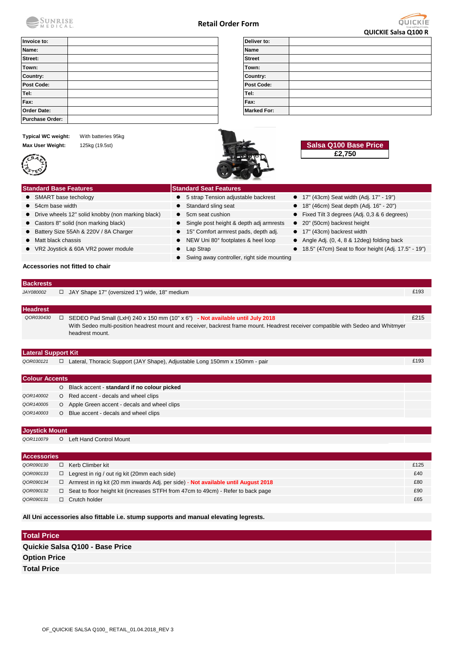

## **Retail Order Form**



|                                                                                        |                                                                               | <b>QUICKIE Salsa Q100 R</b>                                                                                                               |
|----------------------------------------------------------------------------------------|-------------------------------------------------------------------------------|-------------------------------------------------------------------------------------------------------------------------------------------|
| Invoice to:                                                                            | Deliver to:                                                                   |                                                                                                                                           |
| Name:                                                                                  | <b>Name</b>                                                                   |                                                                                                                                           |
| Street:                                                                                | <b>Street</b>                                                                 |                                                                                                                                           |
| Town:                                                                                  | Town:                                                                         |                                                                                                                                           |
| Country:                                                                               | Country:                                                                      |                                                                                                                                           |
| Post Code:                                                                             | Post Code:                                                                    |                                                                                                                                           |
| Tel:                                                                                   | Tel:                                                                          |                                                                                                                                           |
| Fax:                                                                                   | Fax:                                                                          |                                                                                                                                           |
| <b>Order Date:</b>                                                                     | <b>Marked For:</b>                                                            |                                                                                                                                           |
| <b>Purchase Order:</b>                                                                 |                                                                               |                                                                                                                                           |
| <b>Typical WC weight:</b><br>With batteries 95kg<br>Max User Weight:<br>125kg (19.5st) |                                                                               | Salsa Q100 Base Price<br>£2,750                                                                                                           |
| <b>Standard Base Features</b>                                                          | <b>Standard Seat Features</b>                                                 |                                                                                                                                           |
| • SMART base techology                                                                 | • 5 strap Tension adjustable backrest                                         | • 17" (43cm) Seat width (Adj. 17" - 19")                                                                                                  |
| 54cm base width                                                                        | Standard sling seat                                                           | 18" (46cm) Seat depth (Adj. 16" - 20")                                                                                                    |
| Drive wheels 12" solid knobby (non marking black)                                      | 5cm seat cushion                                                              | Fixed Tilt 3 degrees (Adj. 0,3 & 6 degrees)                                                                                               |
| Castors 8" solid (non marking black)                                                   | Single post height & depth adj armrests                                       | 20" (50cm) backrest height                                                                                                                |
| Battery Size 55Ah & 220V / 8A Charger                                                  | 15" Comfort armrest pads, depth adj.                                          | ● 17" (43cm) backrest width                                                                                                               |
| Matt black chassis                                                                     | NEW Uni 80° footplates & heel loop                                            | Angle Adj. (0, 4, 8 & 12deg) folding back                                                                                                 |
| VR2 Joystick & 60A VR2 power module                                                    | Lap Strap                                                                     | ● 18.5" (47cm) Seat to floor height (Adj. 17.5" - 19")                                                                                    |
|                                                                                        | Swing away controller, right side mounting<br>$\bullet$                       |                                                                                                                                           |
| Accessories not fitted to chair                                                        |                                                                               |                                                                                                                                           |
| <b>Backrests</b>                                                                       |                                                                               |                                                                                                                                           |
| □ JAY Shape 17" (oversized 1") wide, 18" medium<br>JAY080002                           |                                                                               | £193                                                                                                                                      |
| <b>Headrest</b>                                                                        |                                                                               |                                                                                                                                           |
| QOR030430<br>$\Box$<br>headrest mount.                                                 | SEDEO Pad Small (LxH) 240 x 150 mm (10" x 6") - Not available until July 2018 | £215<br>With Sedeo multi-position headrest mount and receiver, backrest frame mount. Headrest receiver compatible with Sedeo and Whitmyer |
|                                                                                        |                                                                               |                                                                                                                                           |
| <b>Lateral Support Kit</b>                                                             |                                                                               |                                                                                                                                           |
| QOR030121                                                                              | □ Lateral, Thoracic Support (JAY Shape), Adjustable Long 150mm x 150mm - pair | £193                                                                                                                                      |

| <b>Colour Accents</b> |          |                                             |
|-----------------------|----------|---------------------------------------------|
|                       | $\circ$  | Black accent - standard if no colour picked |
| QOR140002             |          | O Red accent - decals and wheel clips       |
| QOR140005             | $\Omega$ | Apple Green accent - decals and wheel clips |
| QOR140003             | $\Omega$ | Blue accent - decals and wheel clips        |

# **Joystick Mount**

*QOR110079* O Left Hand Control Mount

| <b>Accessories</b>  |                                                                                    |      |
|---------------------|------------------------------------------------------------------------------------|------|
| $\Box$<br>QOR090130 | Kerb Climber kit                                                                   | £125 |
| $\Box$<br>QOR090133 | Legrest in rig / out rig kit (20mm each side)                                      | £40  |
| QOR090134<br>□      | Armrest in rig kit (20 mm inwards Adj. per side) - Not available until August 2018 | £80  |
| 0.<br>QOR090132     | Seat to floor height kit (increases STFH from 47cm to 49cm) - Refer to back page   | £90  |
| QOR090131<br>□      | Crutch holder                                                                      | £65  |

**All Uni accessories also fittable i.e. stump supports and manual elevating legrests.** 

| <b>Total Price</b>              |  |
|---------------------------------|--|
| Quickie Salsa Q100 - Base Price |  |
| <b>Option Price</b>             |  |
| <b>Total Price</b>              |  |
|                                 |  |